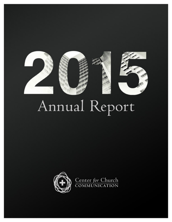

# Annual Report

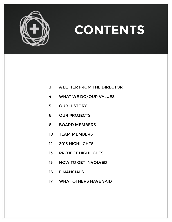

## **CONTENTS**

- A LETTER FROM THE DIRECTOR
- WHAT WE DO/OUR VALUES
- OUR HISTORY
- OUR PROJECTS
- BOARD MEMBERS
- TEAM MEMBERS
- 2015 HIGHLIGHTS
- PROJECT HIGHLIGHTS
- HOW TO GET INVOLVED
- FINANCIALS
- WHAT OTHERS HAVE SAID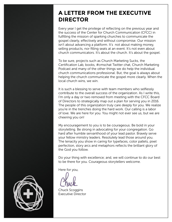## **A LETTER FROM THE EXECUTIVE DIRECTOR**

Every year I get the privilege of reflecting on the previous year and the success of the Center for Church Communication (CFCC) in fulfilling the mission of sparking churches to communicate the gospel clearly, effectively and without compromise. Our mission isn't about advancing a platform. It's not about making money, selling products, nor filling seats at an event. It's not even about church communicators. It's about the church. It's about the gospel.

To be sure, projects such as Church Marketing Sucks, the Certification Lab, books, #cmschat Twitter chat, Church Marketing Podcast and many of the other things we do help the individual church communications professional. But, the goal is always about helping the church communicate the gospel more clearly. When the local church wins, we win.

It is such a blessing to serve with team members who selflessly contribute to the overall success of the organization. As I write this, I'm only a day or two removed from meeting with the CFCC Board of Directors to strategically map out a plan for serving you in 2016. The people of this organization truly care deeply for you. We realize you're in the trenches doing the hard work. Our calling is a labor of love. We are here for you. You might not ever see us, but we are cheering you on!

My encouragement to you is to be courageous. Be bold in your storytelling. Be strong in advocating for your congregation. Go hard after humble servanthood of your lead pastor. Bravely serve your fellow ministry leaders. Resolutely lead those around you. The tenacity you show in caring for typefaces, color pallets, pixel perfection, story arcs and metaphors reflects the brilliant glory of the God you follow.

Do your thing with excellence; and, we will continue to do our best to be there for you. Courageous storytellers welcome.

Here for you,

Chuck Scoggins Executive Director

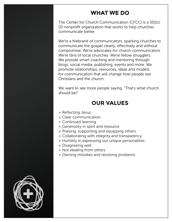### **WHAT WE DO**

The Center for Church Communication (CFCC) is a 501(c) (3) nonprofit organization that works to help churches communicate better.

We're a firebrand of communicators, sparking churches to communicate the gospel clearly, effectively and without compromise. We're advocates for church communicators. We're fans of local churches. We're fellow strugglers. We provide smart coaching and mentoring through blogs, social media, publishing, events and more. We promote relationships, resources, ideas and models for communication that will change how people see Christians and the church.

We want to see more people saying, "That's what church should be!"

## **OUR VALUES**

- + Reflecting Jesus
- + Clear communication
- + Continued learning
- + Generosity in spirit and resource
- + Praising, supporting and equipping others
- + Collaborating with integrity and transparency
- + Humility in expressing our unique personalities
- + Disagreeing well
- + Not stealing from others
- + Owning mistakes and resolving problems

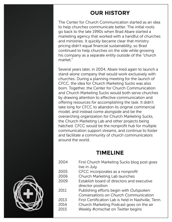## **OUR HISTORY**

The Center for Church Communication started as an idea to help churches communicate better. The initial roots go back to the late 1990s when Brad Abare started a marketing agency that worked with a handful of churches and ministries. It quickly became clear that ministry pricing didn't equal financial sustainability, so Brad continued to help churches on the side while growing his company as a separate entity outside of the "church market"

Several years later, in 2004, Abare tried again to launch a stand-alone company that would work exclusively with churches. During a planning meeting for the launch of CFCC, the idea for Church Marketing Sucks was also born. Together, the Center for Church Communication and Church Marketing Sucks would both serve churches by drawing attention to effective communication and offering resources for accomplishing the task. It didn't take long for CFCC to abandon its original commercial model, and instead come alongside and be the overarching organization for Church Marketing Sucks, the Church Marketing Lab and other projects being hatched. CFCC would be the nonprofit hub for multiple communication support streams, and continue to foster and facilitate a community of church communicators around the world.

### **TIMELINE**

2004 First Church Marketing Sucks blog post goes live in July 2005 CFCC incorporates as a nonprofit 2006 Church Marketing Lab launches 2009 Establish board of directors and executive director position 2011 Publishing efforts begin with *Outspoken: Conversations on Church Communication* 2013 First Certification Lab is held in Nashville, Tenn. 2014 Church Marketing Podcast goes on the air 2015 Weekly #cmschat on Twitter begins

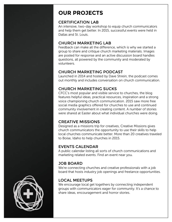## **OUR PROJECTS**

#### CERTIFICATION LAB

An intensive, two-day workshop to equip church communicators and help them get better. In 2015, successful events were held in Dallas and St. Louis.

#### CHURCH MARKETING LAB

Feedback can make all the difference, which is why we started a group to share and critique church marketing materials. Images are posted for response and an active discussion board handles questions, all powered by the community and moderated by volunteers.

#### CHURCH MARKETING PODCAST

Launched in 2014 and hosted by Dave Shrein, the podcast comes out monthly and includes conversation on church communication.

#### CHURCH MARKETING SUCKS

CFCC's most popular and visible service to churches, the blog features helpful ideas, practical resources, inspiration and a strong voice championing church communication. 2015 saw more free social media graphics offered for churches to use and continued community involvement in creating content. A number of stories were shared at Easter about what individual churches were doing.

#### CREATIVE MISSIONS

Designed as a missions trip for creatives, Creative Missions gives church communicators the opportunity to use their skills to help local churches communicate better. More than 20 creatives traveled to Boise, Idaho to help churches in 2015.

#### EVENTS CALENDAR

A public calendar listing all sorts of church communications and marketing related events. Find an event near you.

#### JOB BOARD

We're connecting churches and creative professionals with a job board that hosts industry job openings and freelance opportunities.

#### LOCAL MEETUPS

We encourage local get togethers by connecting independent groups with communicators eager for community. It's a chance to share ideas, encouragement and horror stories.

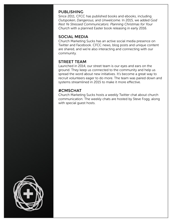#### PUBLISHING

Since 2011, CFCC has published books and ebooks, including *Outspoken*, *Dangerous*, and *Unwelcome*. In 2015, we added *God Rest Ye Stressed Communicators: Planning Christmas for Your Church* with a planned Easter book releasing in early 2016.

#### SOCIAL MEDIA

Church Marketing Sucks has an active social media presence on Twitter and Facebook. CFCC news, blog posts and unique content are shared, and we're also interacting and connecting with our community.

#### STREET TEAM

Launched in 2014, our street team is our eyes and ears on the ground. They keep us connected to the community and help us spread the word about new initiatives. It's become a great way to recruit volunteers eager to do more. The team was paired down and systems streamlined in 2015 to make it more effective.

#### #CMSCHAT

Church Marketing Sucks hosts a weekly Twitter chat about church communication. The weekly chats are hosted by Steve Fogg, along with special guest hosts.

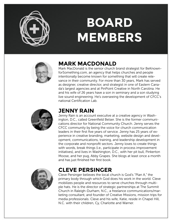

## **BOARD MEMBERS**



## **MARK MACDONALD**

Mark MacDonald is the senior church brand strategist for BeKnownforSomething.com, an agency that helps churches and people intentionally become known for something that will create relevance in their community. For more than 30 years, Mark has served as designer, creative director, and strategist in one of Eastern Canada's largest agencies and at PinPoint Creative in North Carolina. He and his wife of 26 years have a son in seminary and a son studying live sound engineering. He's overseeing the development of CFCC's national Certification Lab.



### **JENNY RAIN**

Jenny Rain is an account executive at a creative agency in Washington, D.C., called Greenfield Belser. She is the former communications director for National Community Church. Jenny serves the CFCC community by being the voice for church communication leaders in their first five years of service. Jenny has 25 years of experience in creative branding, marketing, website design and development, communications, training, and leadership development in the corporate and nonprofit sectors. Jenny loves to create things with words, break things (i.e., participate in process improvement initiatives), and lives in Washington, D.C., with her pit bull, Pinkerton Moose, and her pug, Abby Grapes. She blogs at least once a month and has just finished her first book.



## **CLEVE PERSINGER**

Cleve Persinger believes the local church is God's "Plan A," the primary body through which God does his work in the world. Cleve mobilizes people and resources to serve churches through multiple hats. He is the director of strategic partnerships at The Summit Church in Raleigh-Durham, N.C., a freelance communications/marketing consultant, and founder of Creative Missions, mission trips for media professionals. Cleve and his wife, Katie, reside in Chapel Hill, N.C. with their children, Cy, Charlotte and Warner.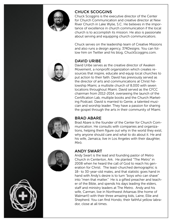

#### CHUCK SCOGGINS

Chuck Scoggins is the executive director of the Center for Church Communication and creative director at New River Church in Lake Wylie, S.C. He believes in the importance of excellence in church communication if the local church is to accomplish its mission. He also is passionate about serving and equipping church communicatiors.

Chuck serves on the leadership team of Creative Missions and also runs a design agency, 374Designs. You can follow him on Twitter and his blog, ChuckScoggins.com.

#### DAVID URIBE

David Uribe serves as the creative director of Awaken Movement, a nonprofit organization which creates resources that inspire, educate and equip local churches to put action to their faith. David has previously served as the director of arts and communications at Christ Fellowship Miami, a multisite church of 8,000 with seven locations throughout Miami. David served as the CFCC chairman from 2012-2014, overseeing the launch of the Certification Lab, multiple books and the Church Marketing Podcast. David is married to Genie, a talented musician and worship leader. They have a passion for sharing the gospel through the arts in their community of Miami.



#### BRAD ABARE

Brad Abare is the founder of the Center for Church Communication. He consults with companies and organizations, helping them figure out why in the world they exist, why anyone should care and what to do about it. He and his wife, Jamaica, live in Los Angeles with their daughter, Miró.



#### ANDY SWART

Andy Swart is the lead and founding pastor of Metro Church in Centerton, Ark. He planted "The Metro" in 2008 when he heard the call of God to reach his generation for Christ. The least-churched demographic is 18- to 30-year-old males, and that statistic goes hand in hand with Andy's desire is to turn "boys who can shave" into "men that matter." He is a gifted preacher and teacher of the Bible, and spends his days leading the elders, staff and ministry leaders at The Metro. Andy and his wife, Carman, live in Northwest Arkansas (the home of Walmart!) with their three amazing kids, Laine, Ellie and Shepherd. You can find Hondo, their faithful yellow labrador, close at all times.

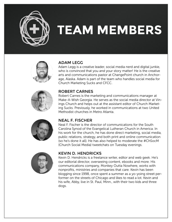

## **TEAM MEMBERS**





#### ADAM LEGG

Adam Legg is a creative leader, social media nerd and digital junkie, who is convinced that you and your story matter! He is the creative arts and communications pastor at ChangePoint church in Anchorage, Alaska. Adam is part of the team who handles social media for Church Marketing Sucks and CFCC.

#### ROBERT CARNES

Robert Carnes is the marketing and communications manager at Make-A-Wish Georgia. He serves as the social media director at Vinings Church and helps out at the assistant editor of Church Marketing Sucks. Previously, he worked in communications at two United Methodist churches in Metro Atlanta.



#### NEAL F. FISCHER

Neal F. Fischer is the director of communications for the South Carolina Synod of the Evangelical Lutheran Church in America. In his work for the church, he has done direct marketing, social media, public relations, strategy, and both print and online communication (so he's done it all). He has also helped to moderate the #ChSocM (Church Social Media) tweetchats on Tuesday evenings.



#### KEVIN D. HENDRICKS

Kevin D. Hendricks is a freelance writer, editor and web geek. He's our editorial director, overseeing content, ebooks and more. His communications company, Monkey Outta Nowhere, works with nonprofits, ministries and companies that care. Kevin has been blogging since 1998, once spent a summer as a yo-yoing street performer on the streets of Chicago and likes to read a lot. Kevin and his wife, Abby, live in St. Paul, Minn., with their two kids and three dogs.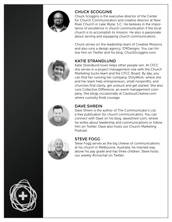

#### CHUCK SCOGGINS

Chuck Scoggins is the executive director of the Center for Church Communication and creative director at New River Church in Lake Wylie, S.C. He believes in the importance of excellence in church communication if the local church is to accomplish its mission. He also is passionate about serving and equipping church communicatiors.

Chuck serves on the leadership team of Creative Missions and also runs a design agency, 374Designs. You can follow him on Twitter and his blog, ChuckScoggins.com.

#### KATIE STRANDLUND

Katie Strandlund loves helps other people win. At CFCC she serves in a project management role with the Church Marketing Sucks team and the CFCC Board. By day, you can find her running her company, DirtyWork, where she and her team help entrepreneurs, small nonprofits, and churches find clarity, get unstuck and get started. She also runs Collective Difference, an event management company. She blogs occasionally at CautiousCreative.com where curiosity finds courage.



#### DAVE SHREIN

Dave Shrein is the author of The Communicator's List, a free publication for church communicators. You can connect with Dave on his blog, daveshrein.com, where he writes about leadership and communications or follow him on Twitter. Dave also hosts our Church Marketing Podcast.



#### STEVE FOGG

Steve Fogg serves as the big cheese of communications at his church in Melbourne, Australia; he married way above his pay grade and has three children. Steve hosts our weekly #cmschat on Twitter.

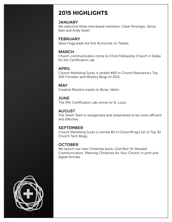## **2015 HIGHLIGHTS**

#### **JANUARY**

We welcome three new board members: Cleve Persinger, Jenny Rain and Andy Swart.

#### **FEBRUARY**

Steve Fogg leads the first #cmschat on Twitter.

#### MARCH

Church communicators come to Christ Fellowship Church in Dallas for the Certification Lab.

#### APRIL

Church Marketing Sucks is ranked #60 in Church Relevance's Top 300 Christian and Ministry Blogs of 2015.

#### **MAY**

Creative Missions travels to Boise, Idaho.

#### **JUNE**

The fifth Certification Lab comes to St. Louis.

#### AUGUST

The Street Team is reorganized and streamlined to be more efficient and effective.

#### SEPTEMBER

Church Marketing Sucks is named #2 in ChurchM.ag's list of Top 30 Church Tech Blogs.

#### **OCTOBER**

We launch our new Christmas book, *God Rest Ye Stressed Communicators: Planning Christmas for Your Church*, in print and digital formats.

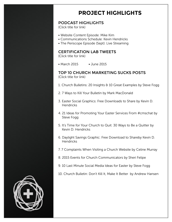## **PROJECT HIGHLIGHTS**

#### PODCAST HIGHLIGHTS

(Click title for link)

- [Website Content Episode:](http://www.churchmarketingsucks.com/2015/04/the-website-content-episode/) Mike Kim
- [Communications Schedule:](http://www.churchmarketingsucks.com/2015/07/the-communication-schedule-episode/) Kevin Hendricks
- [The Periscope Episode \(Sept\)](http://www.churchmarketingsucks.com/2015/08/the-periscope-episode/): Live Streaming

#### CERTIFICATION LAB TWEETS

(Click title for link)

• [March 2015](https://storify.com/AdamLegg/certlab) • [June 2015](https://storify.com/AdamLegg/certification-lab-5571e962b457055a63515e29)

#### TOP 10 CHURCH MARKETING SUCKS POSTS (Click title for link)

- [1. Church Bulletins: 20 Insights & 10 Great Examples by Steve Fogg](http://www.churchmarketingsucks.com/2015/03/church-bulletins-insights-examples/)
- [2. 7 Ways to Kill Your Bulletin by Mark MacDonald](http://www.churchmarketingsucks.com/2015/04/7-ways-to-kill-your-bulletin/)
- [3. Easter Social Graphics: Free Downloads to Share by Kevin D.](http://www.churchmarketingsucks.com/2015/03/easter-social-graphics/)  **Hendricks**
- [4. 21 Ideas for Promoting Your Easter Services From #cmschat by](http://www.churchmarketingsucks.com/2015/02/21-ideas-promoting-easter-services-cmschat/)  [Steve Fogg](http://www.churchmarketingsucks.com/2015/02/21-ideas-promoting-easter-services-cmschat/)
- [5. It's Time for Your Church to Quit: 30 Ways to Be a Quitter by](http://www.churchmarketingsucks.com/2015/08/30-ways-to-be-a-quitter/)   [Kevin D. Hendricks](http://www.churchmarketingsucks.com/2015/08/30-ways-to-be-a-quitter/)
- [6. Daylight Savings Graphic: Free Download to Shareby Kevin D.](http://www.churchmarketingsucks.com/2015/03/daylight-savings-graphic/)  **Hendricks**
- [7. 7 Complaints When Visiting a Church Website by Celine Murray](http://www.churchmarketingsucks.com/2015/06/church_website/)
- [8. 2015 Events for Church Communicators by Sheri Felipe](http://www.churchmarketingsucks.com/2015/01/2015-events-church-communicators/)
- [9. 10 Last Minute Social Media Ideas for Easter by Steve Fogg](http://www.churchmarketingsucks.com/2015/03/10-last-minute-social-media-ideas-for-easter/)
- [10. Church Bulletin: Don't Kill It, Make It Better by Andrew Hansen](http://www.churchmarketingsucks.com/2015/11/church-bulletin-dont-kill-it-make-it-better/)

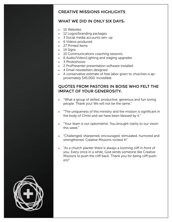#### CREATIVE MISSIONS HIGHLIGHTS

#### WHAT WE DID IN ONLY SIX DAYS:

- 10 Websites
- 12 Logos/branding packages
- 3 Social media accounts set= up
- 6 Videos produced
- 27 Printed items
- 14 Sians
- 10 Communications coaching sessions
- 6 Audio/Video/Lighting and staging upgrades
- 3 Photoshoots
- 2 ProPresenter presentation software installed
- 4 Email newsletters designed
- A conservative estimate of free labor given to churches is approximately \$45,000. Incredible.

#### QUOTES FROM PASTORS IN BOISE WHO FELT THE IMPACT OF YOUR GENEROSITY:

- "What a group of skilled, productive, generous and fun loving people. Thank you! We will not be the same."
- "The uniqueness of this ministry and the mission is significant in the body of Christ and we have been blessed by it."
- "Your team is our optometrist. You brought clarity to our vision this week."
- "Challenged, sharpened, encouraged, stimulated, humored and strengthened. Creative Missions rocked it!"
- "As a church planter there is always a looming cliff in front of you. Every once in a while, God sends someone like Creative Missions to push the cliff back. Thank you for being cliff pushers!"

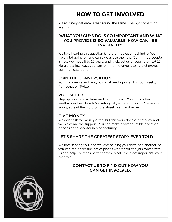## **HOW TO GET INVOLVED**

We routinely get emails that sound the same. They go something like this:

#### "WHAT YOU GUYS DO IS SO IMPORTANT AND WHAT YOU PROVIDE IS SO VALUABLE, HOW CAN I BE INVOLVED?"

We love hearing this question (and the motivation behind it). We have a lot going on and can always use the help. Committed people is how we made it to 10 years, and it will get us through the next 10. Here are a few ways you can join the movement to help churches communicate better:

#### JOIN THE CONVERSATION

Post comments and reply to social media posts. Join our weekly #cmschat on Twitter.

#### VOLUNTEER

Step up on a regular basis and join our team. You could offer feedback in the Church Marketing Lab, write for Church Marketing Sucks, spread the word on the Street Team and more.

#### GIVE MONEY

We don't ask for money often, but this work does cost money and we welcome the support. You can make a taxdeductible donation or consider a sponsorship opportunity.

#### LET'S SHARE THE GREATEST STORY EVER TOLD

We love serving you, and we love helping you serve one another. As you can see, there are lots of places where you can join forces with us and help churches better communicate the most important story ever told.

#### [CONTACT US](http://www.churchmarketingsucks.com/about-us/contact/) TO FIND OUT HOW YOU CAN GET INVOLVED.

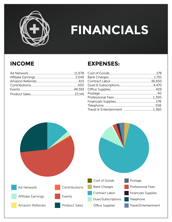

## **FINANCIALS**

## **INCOME**

## **EXPENSES:**

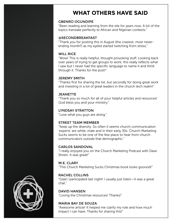## **WHAT OTHERS HAVE SAID**

#### GBENRO OGUNDIPE

"Been reading and learning from the site for years now. A lot of the topics translate perfectly to African and Nigerian contexts."

#### @SECONDBREAKFAST

"Thank you for posting this in August (the craziest, most neverending month?) as my eyelid started twitching from stress."

#### WILL RICE

"Wow! This is really helpful, thought provoking stuff. Looking back over years of trying to get groups to work, this really reflects what I saw but I never had the specific language to name it and think through it. Thanks for the post!"

#### JEREMY SMITH

"Thanks first for sharing the list, but secondly for doing great work and investing in a lot of great leaders in the church tech realm!"

#### **JEANETTE**

"Thank you so much for all of your helpful articles and resources! God bless you and your ministry."

#### LYNDSAY STRATTON

"Love what you guys are doing."

#### STREET TEAM MEMBER

"Keep up the diversity. So often it seems church communication 'experts' are white, male and in their early 30s. Church Marketing Sucks seems to be one of the few place to hear from church communicators outside that demographic."

#### CARLOS SANDOVAL

"I really enjoyed you on the Church Marketing Podcast with Dave Shrein. It was great!"

M.E. CLARY "This Church Marketing Sucks Christmas book looks gooood!"

#### RACHEL COLLINS

"Glad I participated last night! I usually just listen—it was a great chat."

DAVID HANSEN "Loving the Christmas resources! Thanks!"

#### MARIA BAY DE SOUZA

"Awesome article! It helped me clarify my role and how much impact I can have. Thanks for sharing this!"